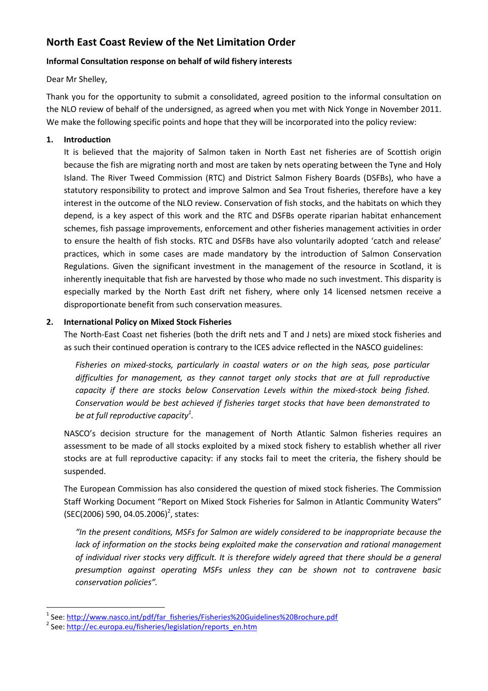# **North East Coast Review of the Net Limitation Order**

# **Informal Consultation response on behalf of wild fishery interests**

Dear Mr Shelley,

Thank you for the opportunity to submit a consolidated, agreed position to the informal consultation on the NLO review of behalf of the undersigned, as agreed when you met with Nick Yonge in November 2011. We make the following specific points and hope that they will be incorporated into the policy review:

# **1. Introduction**

It is believed that the majority of Salmon taken in North East net fisheries are of Scottish origin because the fish are migrating north and most are taken by nets operating between the Tyne and Holy Island. The River Tweed Commission (RTC) and District Salmon Fishery Boards (DSFBs), who have a statutory responsibility to protect and improve Salmon and Sea Trout fisheries, therefore have a key interest in the outcome of the NLO review. Conservation of fish stocks, and the habitats on which they depend, is a key aspect of this work and the RTC and DSFBs operate riparian habitat enhancement schemes, fish passage improvements, enforcement and other fisheries management activities in order to ensure the health of fish stocks. RTC and DSFBs have also voluntarily adopted 'catch and release' practices, which in some cases are made mandatory by the introduction of Salmon Conservation Regulations. Given the significant investment in the management of the resource in Scotland, it is inherently inequitable that fish are harvested by those who made no such investment. This disparity is especially marked by the North East drift net fishery, where only 14 licensed netsmen receive a disproportionate benefit from such conservation measures.

## **2. International Policy on Mixed Stock Fisheries**

The North-East Coast net fisheries (both the drift nets and T and J nets) are mixed stock fisheries and as such their continued operation is contrary to the ICES advice reflected in the NASCO guidelines:

*Fisheries on mixed-stocks, particularly in coastal waters or on the high seas, pose particular difficulties for management, as they cannot target only stocks that are at full reproductive capacity if there are stocks below Conservation Levels within the mixed-stock being fished. Conservation would be best achieved if fisheries target stocks that have been demonstrated to be at full reproductive capacity<sup>1</sup> .*

NASCO's decision structure for the management of North Atlantic Salmon fisheries requires an assessment to be made of all stocks exploited by a mixed stock fishery to establish whether all river stocks are at full reproductive capacity: if any stocks fail to meet the criteria, the fishery should be suspended.

The European Commission has also considered the question of mixed stock fisheries. The Commission Staff Working Document "Report on Mixed Stock Fisheries for Salmon in Atlantic Community Waters"  $(SEC(2006) 590, 04.05.2006)^2, states:$ 

*"In the present conditions, MSFs for Salmon are widely considered to be inappropriate because the*  lack of information on the stocks being exploited make the conservation and rational management *of individual river stocks very difficult. It is therefore widely agreed that there should be a general presumption against operating MSFs unless they can be shown not to contravene basic conservation policies".*

**.** 

<sup>&</sup>lt;sup>1</sup> See[: http://www.nasco.int/pdf/far\\_fisheries/Fisheries%20Guidelines%20Brochure.pdf](http://www.nasco.int/pdf/far_fisheries/Fisheries%20Guidelines%20Brochure.pdf)

<sup>&</sup>lt;sup>2</sup> See[: http://ec.europa.eu/fisheries/legislation/reports\\_en.htm](http://ec.europa.eu/fisheries/legislation/reports_en.htm)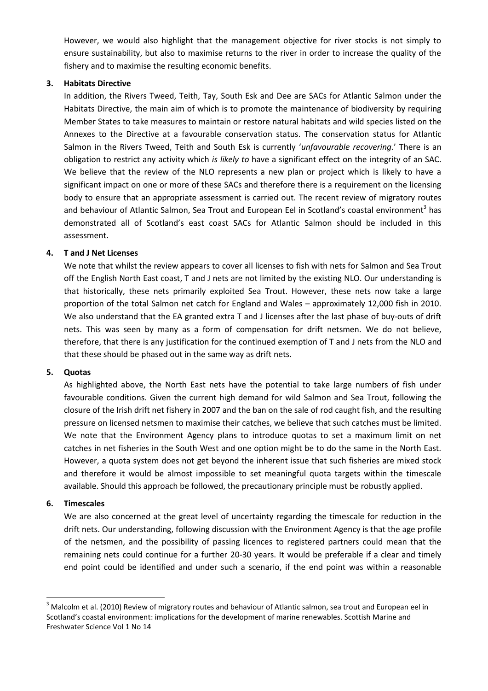However, we would also highlight that the management objective for river stocks is not simply to ensure sustainability, but also to maximise returns to the river in order to increase the quality of the fishery and to maximise the resulting economic benefits.

## **3. Habitats Directive**

In addition, the Rivers Tweed, Teith, Tay, South Esk and Dee are SACs for Atlantic Salmon under the Habitats Directive, the main aim of which is to promote the maintenance of biodiversity by requiring Member States to take measures to maintain or restore natural habitats and wild species listed on the Annexes to the Directive at a favourable conservation status. The conservation status for Atlantic Salmon in the Rivers Tweed, Teith and South Esk is currently '*unfavourable recovering.*' There is an obligation to restrict any activity which *is likely to* have a significant effect on the integrity of an SAC. We believe that the review of the NLO represents a new plan or project which is likely to have a significant impact on one or more of these SACs and therefore there is a requirement on the licensing body to ensure that an appropriate assessment is carried out. The recent review of migratory routes and behaviour of Atlantic Salmon, Sea Trout and European Eel in Scotland's coastal environment<sup>3</sup> has demonstrated all of Scotland's east coast SACs for Atlantic Salmon should be included in this assessment.

## **4. T and J Net Licenses**

We note that whilst the review appears to cover all licenses to fish with nets for Salmon and Sea Trout off the English North East coast, T and J nets are not limited by the existing NLO. Our understanding is that historically, these nets primarily exploited Sea Trout. However, these nets now take a large proportion of the total Salmon net catch for England and Wales – approximately 12,000 fish in 2010. We also understand that the EA granted extra T and J licenses after the last phase of buy-outs of drift nets. This was seen by many as a form of compensation for drift netsmen. We do not believe, therefore, that there is any justification for the continued exemption of T and J nets from the NLO and that these should be phased out in the same way as drift nets.

#### **5. Quotas**

As highlighted above, the North East nets have the potential to take large numbers of fish under favourable conditions. Given the current high demand for wild Salmon and Sea Trout, following the closure of the Irish drift net fishery in 2007 and the ban on the sale of rod caught fish, and the resulting pressure on licensed netsmen to maximise their catches, we believe that such catches must be limited. We note that the Environment Agency plans to introduce quotas to set a maximum limit on net catches in net fisheries in the South West and one option might be to do the same in the North East. However, a quota system does not get beyond the inherent issue that such fisheries are mixed stock and therefore it would be almost impossible to set meaningful quota targets within the timescale available. Should this approach be followed, the precautionary principle must be robustly applied.

# **6. Timescales**

**.** 

We are also concerned at the great level of uncertainty regarding the timescale for reduction in the drift nets. Our understanding, following discussion with the Environment Agency is that the age profile of the netsmen, and the possibility of passing licences to registered partners could mean that the remaining nets could continue for a further 20-30 years. It would be preferable if a clear and timely end point could be identified and under such a scenario, if the end point was within a reasonable

 $3$  Malcolm et al. (2010) Review of migratory routes and behaviour of Atlantic salmon, sea trout and European eel in Scotland's coastal environment: implications for the development of marine renewables. Scottish Marine and Freshwater Science Vol 1 No 14